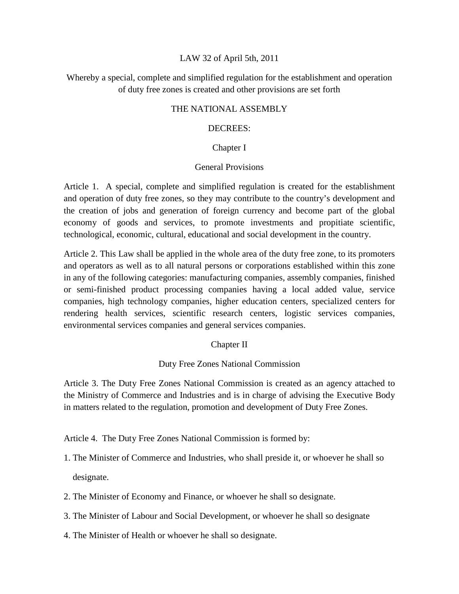#### LAW 32 of April 5th, 2011

#### Whereby a special, complete and simplified regulation for the establishment and operation of duty free zones is created and other provisions are set forth

#### THE NATIONAL ASSEMBLY

#### DECREES:

#### Chapter I

#### General Provisions

Article 1. A special, complete and simplified regulation is created for the establishment and operation of duty free zones, so they may contribute to the country's development and the creation of jobs and generation of foreign currency and become part of the global economy of goods and services, to promote investments and propitiate scientific, technological, economic, cultural, educational and social development in the country.

Article 2. This Law shall be applied in the whole area of the duty free zone, to its promoters and operators as well as to all natural persons or corporations established within this zone in any of the following categories: manufacturing companies, assembly companies, finished or semi-finished product processing companies having a local added value, service companies, high technology companies, higher education centers, specialized centers for rendering health services, scientific research centers, logistic services companies, environmental services companies and general services companies.

#### Chapter II

#### Duty Free Zones National Commission

Article 3. The Duty Free Zones National Commission is created as an agency attached to the Ministry of Commerce and Industries and is in charge of advising the Executive Body in matters related to the regulation, promotion and development of Duty Free Zones.

Article 4. The Duty Free Zones National Commission is formed by:

- 1. The Minister of Commerce and Industries, who shall preside it, or whoever he shall so designate.
- 2. The Minister of Economy and Finance, or whoever he shall so designate.
- 3. The Minister of Labour and Social Development, or whoever he shall so designate
- 4. The Minister of Health or whoever he shall so designate.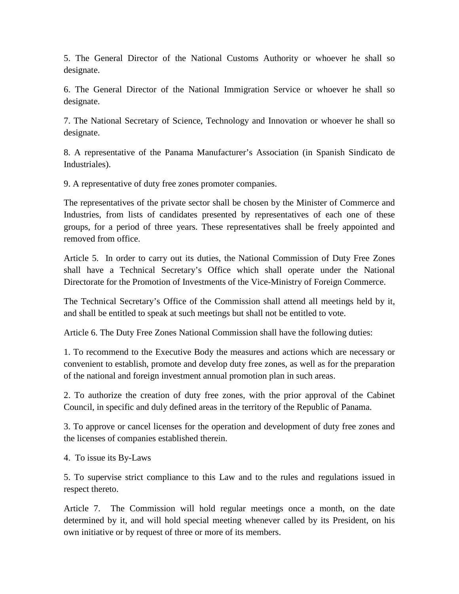5. The General Director of the National Customs Authority or whoever he shall so designate.

6. The General Director of the National Immigration Service or whoever he shall so designate.

7. The National Secretary of Science, Technology and Innovation or whoever he shall so designate.

8. A representative of the Panama Manufacturer's Association (in Spanish Sindicato de Industriales).

9. A representative of duty free zones promoter companies.

The representatives of the private sector shall be chosen by the Minister of Commerce and Industries, from lists of candidates presented by representatives of each one of these groups, for a period of three years. These representatives shall be freely appointed and removed from office.

Article 5. In order to carry out its duties, the National Commission of Duty Free Zones shall have a Technical Secretary's Office which shall operate under the National Directorate for the Promotion of Investments of the Vice-Ministry of Foreign Commerce.

The Technical Secretary's Office of the Commission shall attend all meetings held by it, and shall be entitled to speak at such meetings but shall not be entitled to vote.

Article 6. The Duty Free Zones National Commission shall have the following duties:

1. To recommend to the Executive Body the measures and actions which are necessary or convenient to establish, promote and develop duty free zones, as well as for the preparation of the national and foreign investment annual promotion plan in such areas.

2. To authorize the creation of duty free zones, with the prior approval of the Cabinet Council, in specific and duly defined areas in the territory of the Republic of Panama.

3. To approve or cancel licenses for the operation and development of duty free zones and the licenses of companies established therein.

4. To issue its By-Laws

5. To supervise strict compliance to this Law and to the rules and regulations issued in respect thereto.

Article 7. The Commission will hold regular meetings once a month, on the date determined by it, and will hold special meeting whenever called by its President, on his own initiative or by request of three or more of its members.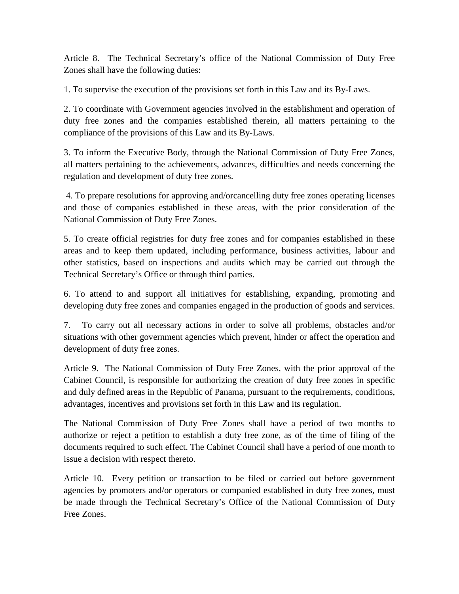Article 8. The Technical Secretary's office of the National Commission of Duty Free Zones shall have the following duties:

1. To supervise the execution of the provisions set forth in this Law and its By-Laws.

2. To coordinate with Government agencies involved in the establishment and operation of duty free zones and the companies established therein, all matters pertaining to the compliance of the provisions of this Law and its By-Laws.

3. To inform the Executive Body, through the National Commission of Duty Free Zones, all matters pertaining to the achievements, advances, difficulties and needs concerning the regulation and development of duty free zones.

4. To prepare resolutions for approving and/orcancelling duty free zones operating licenses and those of companies established in these areas, with the prior consideration of the National Commission of Duty Free Zones.

5. To create official registries for duty free zones and for companies established in these areas and to keep them updated, including performance, business activities, labour and other statistics, based on inspections and audits which may be carried out through the Technical Secretary's Office or through third parties.

6. To attend to and support all initiatives for establishing, expanding, promoting and developing duty free zones and companies engaged in the production of goods and services.

7. To carry out all necessary actions in order to solve all problems, obstacles and/or situations with other government agencies which prevent, hinder or affect the operation and development of duty free zones.

Article 9. The National Commission of Duty Free Zones, with the prior approval of the Cabinet Council, is responsible for authorizing the creation of duty free zones in specific and duly defined areas in the Republic of Panama, pursuant to the requirements, conditions, advantages, incentives and provisions set forth in this Law and its regulation.

The National Commission of Duty Free Zones shall have a period of two months to authorize or reject a petition to establish a duty free zone, as of the time of filing of the documents required to such effect. The Cabinet Council shall have a period of one month to issue a decision with respect thereto.

Article 10. Every petition or transaction to be filed or carried out before government agencies by promoters and/or operators or companied established in duty free zones, must be made through the Technical Secretary's Office of the National Commission of Duty Free Zones.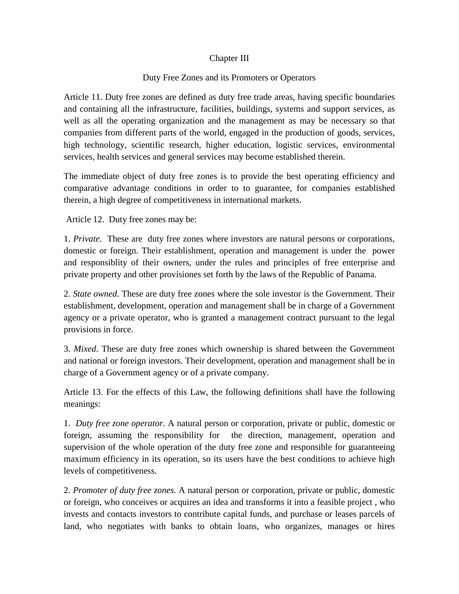## Chapter III

### Duty Free Zones and its Promoters or Operators

Article 11. Duty free zones are defined as duty free trade areas, having specific boundaries and containing all the infrastructure, facilities, buildings, systems and support services, as well as all the operating organization and the management as may be necessary so that companies from different parts of the world, engaged in the production of goods, services, high technology, scientific research, higher education, logistic services, environmental services, health services and general services may become established therein.

The immediate object of duty free zones is to provide the best operating efficiency and comparative advantage conditions in order to to guarantee, for companies established therein, a high degree of competitiveness in international markets.

Article 12. Duty free zones may be:

1. *Private*. These are duty free zones where investors are natural persons or corporations, domestic or foreign. Their establishment, operation and management is under the power and responsiblity of their owners, under the rules and principles of free enterprise and private property and other provisiones set forth by the laws of the Republic of Panama.

2. *State owned*. These are duty free zones where the sole investor is the Government. Their establishment, development, operation and management shall be in charge of a Government agency or a private operator, who is granted a management contract pursuant to the legal provisions in force.

3. *Mixed*. These are duty free zones which ownership is shared between the Government and national or foreign investors. Their development, operation and management shall be in charge of a Government agency or of a private company.

Article 13. For the effects of this Law, the following definitions shall have the following meanings:

1. *Duty free zone operator*. A natural person or corporation, private or public, domestic or foreign, assuming the responsibility for the direction, management, operation and supervision of the whole operation of the duty free zone and responsible for guaranteeing maximum efficiency in its operation, so its users have the best conditions to achieve high levels of competitiveness.

2. *Promoter of duty free zones.* A natural person or corporation, private or public, domestic or foreign, who conceives or acquires an idea and transforms it into a feasible project , who invests and contacts investors to contribute capital funds, and purchase or leases parcels of land, who negotiates with banks to obtain loans, who organizes, manages or hires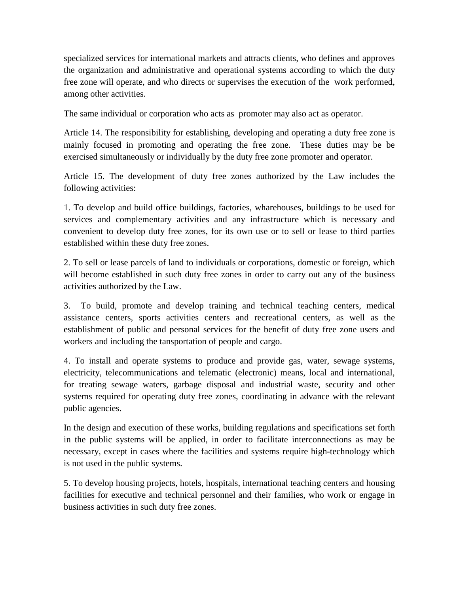specialized services for international markets and attracts clients, who defines and approves the organization and administrative and operational systems according to which the duty free zone will operate, and who directs or supervises the execution of the work performed, among other activities.

The same individual or corporation who acts as promoter may also act as operator.

Article 14. The responsibility for establishing, developing and operating a duty free zone is mainly focused in promoting and operating the free zone. These duties may be be exercised simultaneously or individually by the duty free zone promoter and operator.

Article 15. The development of duty free zones authorized by the Law includes the following activities:

1. To develop and build office buildings, factories, wharehouses, buildings to be used for services and complementary activities and any infrastructure which is necessary and convenient to develop duty free zones, for its own use or to sell or lease to third parties established within these duty free zones.

2. To sell or lease parcels of land to individuals or corporations, domestic or foreign, which will become established in such duty free zones in order to carry out any of the business activities authorized by the Law.

3. To build, promote and develop training and technical teaching centers, medical assistance centers, sports activities centers and recreational centers, as well as the establishment of public and personal services for the benefit of duty free zone users and workers and including the tansportation of people and cargo.

4. To install and operate systems to produce and provide gas, water, sewage systems, electricity, telecommunications and telematic (electronic) means, local and international, for treating sewage waters, garbage disposal and industrial waste, security and other systems required for operating duty free zones, coordinating in advance with the relevant public agencies.

In the design and execution of these works, building regulations and specifications set forth in the public systems will be applied, in order to facilitate interconnections as may be necessary, except in cases where the facilities and systems require high-technology which is not used in the public systems.

5. To develop housing projects, hotels, hospitals, international teaching centers and housing facilities for executive and technical personnel and their families, who work or engage in business activities in such duty free zones.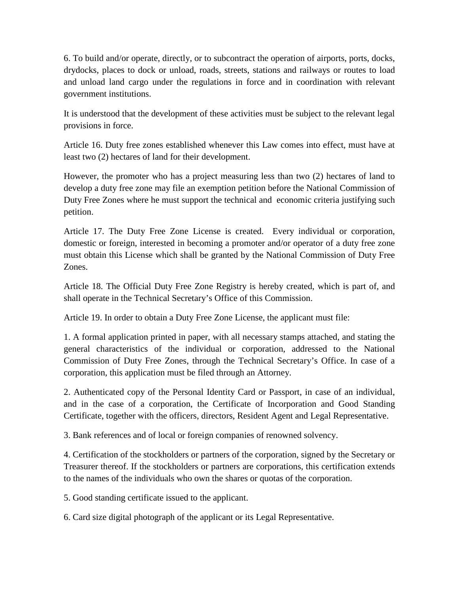6. To build and/or operate, directly, or to subcontract the operation of airports, ports, docks, drydocks, places to dock or unload, roads, streets, stations and railways or routes to load and unload land cargo under the regulations in force and in coordination with relevant government institutions.

It is understood that the development of these activities must be subject to the relevant legal provisions in force.

Article 16. Duty free zones established whenever this Law comes into effect, must have at least two (2) hectares of land for their development.

However, the promoter who has a project measuring less than two (2) hectares of land to develop a duty free zone may file an exemption petition before the National Commission of Duty Free Zones where he must support the technical and economic criteria justifying such petition.

Article 17. The Duty Free Zone License is created. Every individual or corporation, domestic or foreign, interested in becoming a promoter and/or operator of a duty free zone must obtain this License which shall be granted by the National Commission of Duty Free Zones.

Article 18. The Official Duty Free Zone Registry is hereby created, which is part of, and shall operate in the Technical Secretary's Office of this Commission.

Article 19. In order to obtain a Duty Free Zone License, the applicant must file:

1. A formal application printed in paper, with all necessary stamps attached, and stating the general characteristics of the individual or corporation, addressed to the National Commission of Duty Free Zones, through the Technical Secretary's Office. In case of a corporation, this application must be filed through an Attorney.

2. Authenticated copy of the Personal Identity Card or Passport, in case of an individual, and in the case of a corporation, the Certificate of Incorporation and Good Standing Certificate, together with the officers, directors, Resident Agent and Legal Representative.

3. Bank references and of local or foreign companies of renowned solvency.

4. Certification of the stockholders or partners of the corporation, signed by the Secretary or Treasurer thereof. If the stockholders or partners are corporations, this certification extends to the names of the individuals who own the shares or quotas of the corporation.

5. Good standing certificate issued to the applicant.

6. Card size digital photograph of the applicant or its Legal Representative.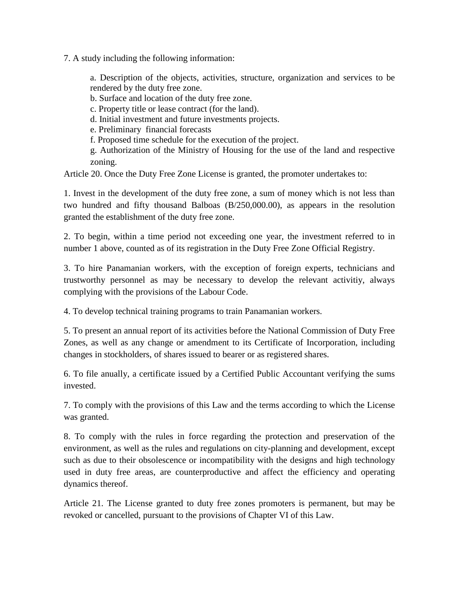7. A study including the following information:

a. Description of the objects, activities, structure, organization and services to be rendered by the duty free zone.

b. Surface and location of the duty free zone.

c. Property title or lease contract (for the land).

d. Initial investment and future investments projects.

e. Preliminary financial forecasts

f. Proposed time schedule for the execution of the project.

g. Authorization of the Ministry of Housing for the use of the land and respective zoning.

Article 20. Once the Duty Free Zone License is granted, the promoter undertakes to:

1. Invest in the development of the duty free zone, a sum of money which is not less than two hundred and fifty thousand Balboas (B/250,000.00), as appears in the resolution granted the establishment of the duty free zone.

2. To begin, within a time period not exceeding one year, the investment referred to in number 1 above, counted as of its registration in the Duty Free Zone Official Registry.

3. To hire Panamanian workers, with the exception of foreign experts, technicians and trustworthy personnel as may be necessary to develop the relevant activitiy, always complying with the provisions of the Labour Code.

4. To develop technical training programs to train Panamanian workers.

5. To present an annual report of its activities before the National Commission of Duty Free Zones, as well as any change or amendment to its Certificate of Incorporation, including changes in stockholders, of shares issued to bearer or as registered shares.

6. To file anually, a certificate issued by a Certified Public Accountant verifying the sums invested.

7. To comply with the provisions of this Law and the terms according to which the License was granted.

8. To comply with the rules in force regarding the protection and preservation of the environment, as well as the rules and regulations on city-planning and development, except such as due to their obsolescence or incompatibility with the designs and high technology used in duty free areas, are counterproductive and affect the efficiency and operating dynamics thereof.

Article 21. The License granted to duty free zones promoters is permanent, but may be revoked or cancelled, pursuant to the provisions of Chapter VI of this Law.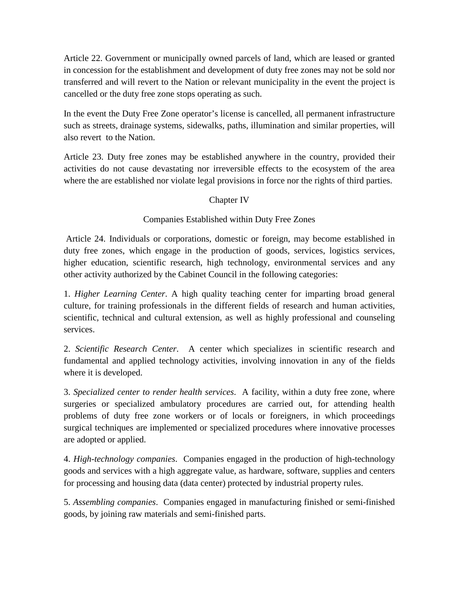Article 22. Government or municipally owned parcels of land, which are leased or granted in concession for the establishment and development of duty free zones may not be sold nor transferred and will revert to the Nation or relevant municipality in the event the project is cancelled or the duty free zone stops operating as such.

In the event the Duty Free Zone operator's license is cancelled, all permanent infrastructure such as streets, drainage systems, sidewalks, paths, illumination and similar properties, will also revert to the Nation.

Article 23. Duty free zones may be established anywhere in the country, provided their activities do not cause devastating nor irreversible effects to the ecosystem of the area where the are established nor violate legal provisions in force nor the rights of third parties.

## Chapter IV

## Companies Established within Duty Free Zones

Article 24. Individuals or corporations, domestic or foreign, may become established in duty free zones, which engage in the production of goods, services, logistics services, higher education, scientific research, high technology, environmental services and any other activity authorized by the Cabinet Council in the following categories:

1. *Higher Learning Center*. A high quality teaching center for imparting broad general culture, for training professionals in the different fields of research and human activities, scientific, technical and cultural extension, as well as highly professional and counseling services.

2. *Scientific Research Center*. A center which specializes in scientific research and fundamental and applied technology activities, involving innovation in any of the fields where it is developed.

3. *Specialized center to render health services*. A facility, within a duty free zone, where surgeries or specialized ambulatory procedures are carried out, for attending health problems of duty free zone workers or of locals or foreigners, in which proceedings surgical techniques are implemented or specialized procedures where innovative processes are adopted or applied.

4. *High-technology companies*. Companies engaged in the production of high-technology goods and services with a high aggregate value, as hardware, software, supplies and centers for processing and housing data (data center) protected by industrial property rules.

5. *Assembling companies*. Companies engaged in manufacturing finished or semi-finished goods, by joining raw materials and semi-finished parts.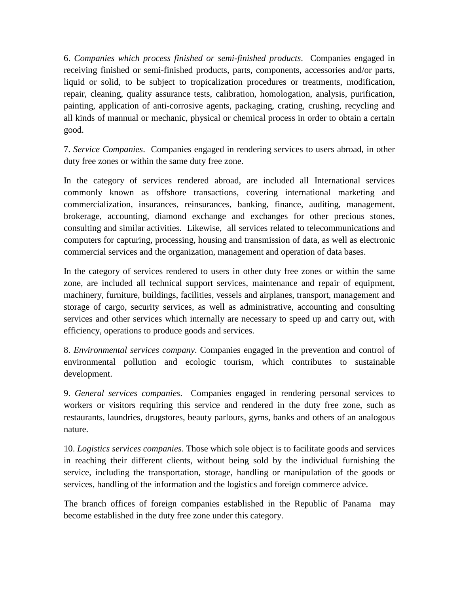6. *Companies which process finished or semi-finished products*. Companies engaged in receiving finished or semi-finished products, parts, components, accessories and/or parts, liquid or solid, to be subject to tropicalization procedures or treatments, modification, repair, cleaning, quality assurance tests, calibration, homologation, analysis, purification, painting, application of anti-corrosive agents, packaging, crating, crushing, recycling and all kinds of mannual or mechanic, physical or chemical process in order to obtain a certain good.

7. *Service Companies*. Companies engaged in rendering services to users abroad, in other duty free zones or within the same duty free zone.

In the category of services rendered abroad, are included all International services commonly known as offshore transactions, covering international marketing and commercialization, insurances, reinsurances, banking, finance, auditing, management, brokerage, accounting, diamond exchange and exchanges for other precious stones, consulting and similar activities. Likewise, all services related to telecommunications and computers for capturing, processing, housing and transmission of data, as well as electronic commercial services and the organization, management and operation of data bases.

In the category of services rendered to users in other duty free zones or within the same zone, are included all technical support services, maintenance and repair of equipment, machinery, furniture, buildings, facilities, vessels and airplanes, transport, management and storage of cargo, security services, as well as administrative, accounting and consulting services and other services which internally are necessary to speed up and carry out, with efficiency, operations to produce goods and services.

8. *Environmental services company*. Companies engaged in the prevention and control of environmental pollution and ecologic tourism, which contributes to sustainable development.

9. *General services companies*. Companies engaged in rendering personal services to workers or visitors requiring this service and rendered in the duty free zone, such as restaurants, laundries, drugstores, beauty parlours, gyms, banks and others of an analogous nature.

10. *Logistics services companies*. Those which sole object is to facilitate goods and services in reaching their different clients, without being sold by the individual furnishing the service, including the transportation, storage, handling or manipulation of the goods or services, handling of the information and the logistics and foreign commerce advice.

The branch offices of foreign companies established in the Republic of Panama may become established in the duty free zone under this category.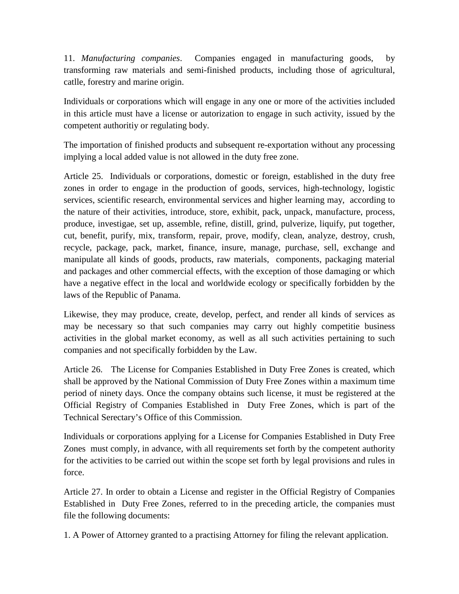11. *Manufacturing companies*. Companies engaged in manufacturing goods, by transforming raw materials and semi-finished products, including those of agricultural, catlle, forestry and marine origin.

Individuals or corporations which will engage in any one or more of the activities included in this article must have a license or autorization to engage in such activity, issued by the competent authoritiy or regulating body.

The importation of finished products and subsequent re-exportation without any processing implying a local added value is not allowed in the duty free zone.

Article 25. Individuals or corporations, domestic or foreign, established in the duty free zones in order to engage in the production of goods, services, high-technology, logistic services, scientific research, environmental services and higher learning may, according to the nature of their activities, introduce, store, exhibit, pack, unpack, manufacture, process, produce, investigae, set up, assemble, refine, distill, grind, pulverize, liquify, put together, cut, benefit, purify, mix, transform, repair, prove, modify, clean, analyze, destroy, crush, recycle, package, pack, market, finance, insure, manage, purchase, sell, exchange and manipulate all kinds of goods, products, raw materials, components, packaging material and packages and other commercial effects, with the exception of those damaging or which have a negative effect in the local and worldwide ecology or specifically forbidden by the laws of the Republic of Panama.

Likewise, they may produce, create, develop, perfect, and render all kinds of services as may be necessary so that such companies may carry out highly competitie business activities in the global market economy, as well as all such activities pertaining to such companies and not specifically forbidden by the Law.

Article 26. The License for Companies Established in Duty Free Zones is created, which shall be approved by the National Commission of Duty Free Zones within a maximum time period of ninety days. Once the company obtains such license, it must be registered at the Official Registry of Companies Established in Duty Free Zones, which is part of the Technical Serectary's Office of this Commission.

Individuals or corporations applying for a License for Companies Established in Duty Free Zones must comply, in advance, with all requirements set forth by the competent authority for the activities to be carried out within the scope set forth by legal provisions and rules in force.

Article 27. In order to obtain a License and register in the Official Registry of Companies Established in Duty Free Zones, referred to in the preceding article, the companies must file the following documents:

1. A Power of Attorney granted to a practising Attorney for filing the relevant application.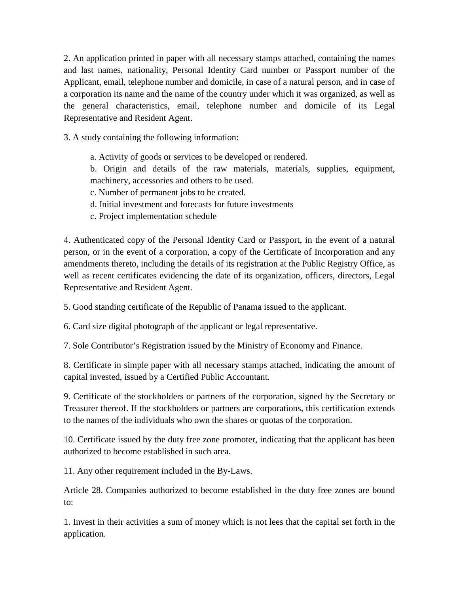2. An application printed in paper with all necessary stamps attached, containing the names and last names, nationality, Personal Identity Card number or Passport number of the Applicant, email, telephone number and domicile, in case of a natural person, and in case of a corporation its name and the name of the country under which it was organized, as well as the general characteristics, email, telephone number and domicile of its Legal Representative and Resident Agent.

3. A study containing the following information:

a. Activity of goods or services to be developed or rendered.

b. Origin and details of the raw materials, materials, supplies, equipment, machinery, accessories and others to be used.

- c. Number of permanent jobs to be created.
- d. Initial investment and forecasts for future investments
- c. Project implementation schedule

4. Authenticated copy of the Personal Identity Card or Passport, in the event of a natural person, or in the event of a corporation, a copy of the Certificate of Incorporation and any amendments thereto, including the details of its registration at the Public Registry Office, as well as recent certificates evidencing the date of its organization, officers, directors, Legal Representative and Resident Agent.

5. Good standing certificate of the Republic of Panama issued to the applicant.

6. Card size digital photograph of the applicant or legal representative.

7. Sole Contributor's Registration issued by the Ministry of Economy and Finance.

8. Certificate in simple paper with all necessary stamps attached, indicating the amount of capital invested, issued by a Certified Public Accountant.

9. Certificate of the stockholders or partners of the corporation, signed by the Secretary or Treasurer thereof. If the stockholders or partners are corporations, this certification extends to the names of the individuals who own the shares or quotas of the corporation.

10. Certificate issued by the duty free zone promoter, indicating that the applicant has been authorized to become established in such area.

11. Any other requirement included in the By-Laws.

Article 28. Companies authorized to become established in the duty free zones are bound to:

1. Invest in their activities a sum of money which is not lees that the capital set forth in the application.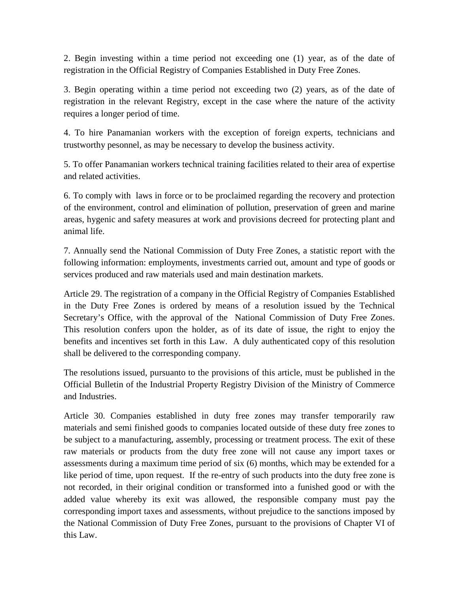2. Begin investing within a time period not exceeding one (1) year, as of the date of registration in the Official Registry of Companies Established in Duty Free Zones.

3. Begin operating within a time period not exceeding two (2) years, as of the date of registration in the relevant Registry, except in the case where the nature of the activity requires a longer period of time.

4. To hire Panamanian workers with the exception of foreign experts, technicians and trustworthy pesonnel, as may be necessary to develop the business activity.

5. To offer Panamanian workers technical training facilities related to their area of expertise and related activities.

6. To comply with laws in force or to be proclaimed regarding the recovery and protection of the environment, control and elimination of pollution, preservation of green and marine areas, hygenic and safety measures at work and provisions decreed for protecting plant and animal life.

7. Annually send the National Commission of Duty Free Zones, a statistic report with the following information: employments, investments carried out, amount and type of goods or services produced and raw materials used and main destination markets.

Article 29. The registration of a company in the Official Registry of Companies Established in the Duty Free Zones is ordered by means of a resolution issued by the Technical Secretary's Office, with the approval of the National Commission of Duty Free Zones. This resolution confers upon the holder, as of its date of issue, the right to enjoy the benefits and incentives set forth in this Law. A duly authenticated copy of this resolution shall be delivered to the corresponding company.

The resolutions issued, pursuanto to the provisions of this article, must be published in the Official Bulletin of the Industrial Property Registry Division of the Ministry of Commerce and Industries.

Article 30. Companies established in duty free zones may transfer temporarily raw materials and semi finished goods to companies located outside of these duty free zones to be subject to a manufacturing, assembly, processing or treatment process. The exit of these raw materials or products from the duty free zone will not cause any import taxes or assessments during a maximum time period of six (6) months, which may be extended for a like period of time, upon request. If the re-entry of such products into the duty free zone is not recorded, in their original condition or transformed into a funished good or with the added value whereby its exit was allowed, the responsible company must pay the corresponding import taxes and assessments, without prejudice to the sanctions imposed by the National Commission of Duty Free Zones, pursuant to the provisions of Chapter VI of this Law.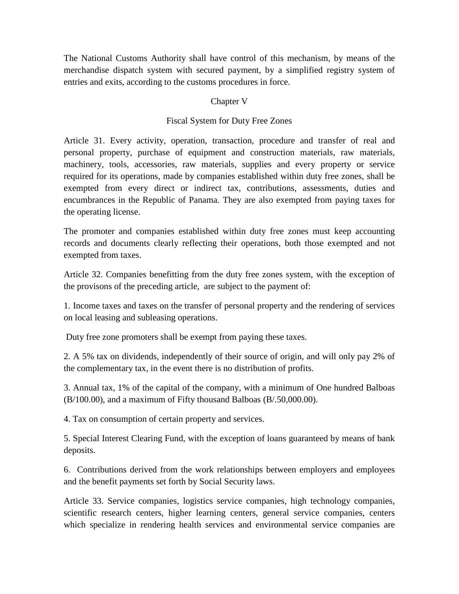The National Customs Authority shall have control of this mechanism, by means of the merchandise dispatch system with secured payment, by a simplified registry system of entries and exits, according to the customs procedures in force.

### Chapter V

#### Fiscal System for Duty Free Zones

Article 31. Every activity, operation, transaction, procedure and transfer of real and personal property, purchase of equipment and construction materials, raw materials, machinery, tools, accessories, raw materials, supplies and every property or service required for its operations, made by companies established within duty free zones, shall be exempted from every direct or indirect tax, contributions, assessments, duties and encumbrances in the Republic of Panama. They are also exempted from paying taxes for the operating license.

The promoter and companies established within duty free zones must keep accounting records and documents clearly reflecting their operations, both those exempted and not exempted from taxes.

Article 32. Companies benefitting from the duty free zones system, with the exception of the provisons of the preceding article, are subject to the payment of:

1. Income taxes and taxes on the transfer of personal property and the rendering of services on local leasing and subleasing operations.

Duty free zone promoters shall be exempt from paying these taxes.

2. A 5% tax on dividends, independently of their source of origin, and will only pay 2% of the complementary tax, in the event there is no distribution of profits.

3. Annual tax, 1% of the capital of the company, with a minimum of One hundred Balboas (B/100.00), and a maximum of Fifty thousand Balboas (B/.50,000.00).

4. Tax on consumption of certain property and services.

5. Special Interest Clearing Fund, with the exception of loans guaranteed by means of bank deposits.

6. Contributions derived from the work relationships between employers and employees and the benefit payments set forth by Social Security laws.

Article 33. Service companies, logistics service companies, high technology companies, scientific research centers, higher learning centers, general service companies, centers which specialize in rendering health services and environmental service companies are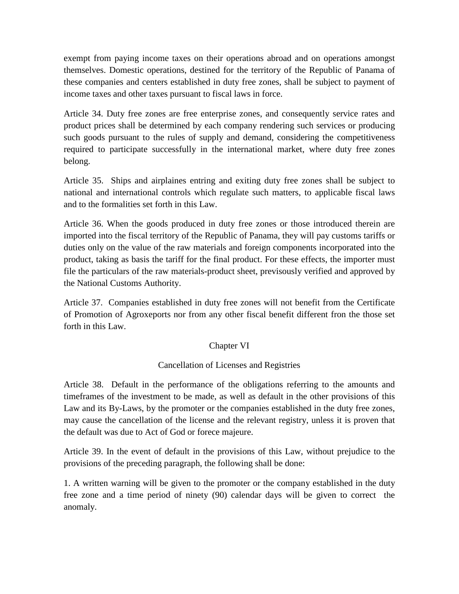exempt from paying income taxes on their operations abroad and on operations amongst themselves. Domestic operations, destined for the territory of the Republic of Panama of these companies and centers established in duty free zones, shall be subject to payment of income taxes and other taxes pursuant to fiscal laws in force.

Article 34. Duty free zones are free enterprise zones, and consequently service rates and product prices shall be determined by each company rendering such services or producing such goods pursuant to the rules of supply and demand, considering the competitiveness required to participate successfully in the international market, where duty free zones belong.

Article 35. Ships and airplaines entring and exiting duty free zones shall be subject to national and international controls which regulate such matters, to applicable fiscal laws and to the formalities set forth in this Law.

Article 36. When the goods produced in duty free zones or those introduced therein are imported into the fiscal territory of the Republic of Panama, they will pay customs tariffs or duties only on the value of the raw materials and foreign components incorporated into the product, taking as basis the tariff for the final product. For these effects, the importer must file the particulars of the raw materials-product sheet, previsously verified and approved by the National Customs Authority.

Article 37. Companies established in duty free zones will not benefit from the Certificate of Promotion of Agroxeports nor from any other fiscal benefit different fron the those set forth in this Law.

### Chapter VI

### Cancellation of Licenses and Registries

Article 38. Default in the performance of the obligations referring to the amounts and timeframes of the investment to be made, as well as default in the other provisions of this Law and its By-Laws, by the promoter or the companies established in the duty free zones, may cause the cancellation of the license and the relevant registry, unless it is proven that the default was due to Act of God or forece majeure.

Article 39. In the event of default in the provisions of this Law, without prejudice to the provisions of the preceding paragraph, the following shall be done:

1. A written warning will be given to the promoter or the company established in the duty free zone and a time period of ninety (90) calendar days will be given to correct the anomaly.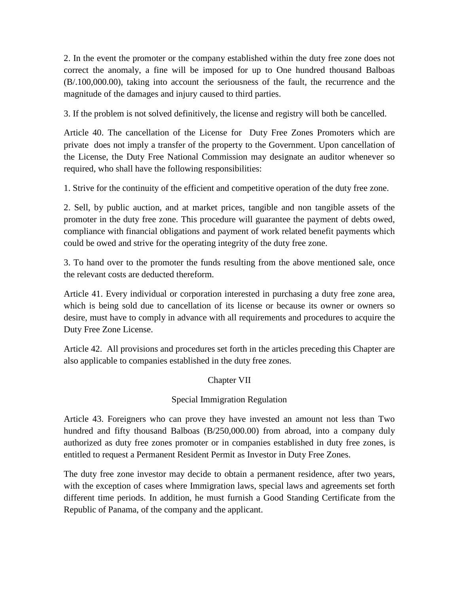2. In the event the promoter or the company established within the duty free zone does not correct the anomaly, a fine will be imposed for up to One hundred thousand Balboas (B/.100,000.00), taking into account the seriousness of the fault, the recurrence and the magnitude of the damages and injury caused to third parties.

3. If the problem is not solved definitively, the license and registry will both be cancelled.

Article 40. The cancellation of the License for Duty Free Zones Promoters which are private does not imply a transfer of the property to the Government. Upon cancellation of the License, the Duty Free National Commission may designate an auditor whenever so required, who shall have the following responsibilities:

1. Strive for the continuity of the efficient and competitive operation of the duty free zone.

2. Sell, by public auction, and at market prices, tangible and non tangible assets of the promoter in the duty free zone. This procedure will guarantee the payment of debts owed, compliance with financial obligations and payment of work related benefit payments which could be owed and strive for the operating integrity of the duty free zone.

3. To hand over to the promoter the funds resulting from the above mentioned sale, once the relevant costs are deducted thereform.

Article 41. Every individual or corporation interested in purchasing a duty free zone area, which is being sold due to cancellation of its license or because its owner or owners so desire, must have to comply in advance with all requirements and procedures to acquire the Duty Free Zone License.

Article 42. All provisions and procedures set forth in the articles preceding this Chapter are also applicable to companies established in the duty free zones.

# Chapter VII

# Special Immigration Regulation

Article 43. Foreigners who can prove they have invested an amount not less than Two hundred and fifty thousand Balboas (B/250,000.00) from abroad, into a company duly authorized as duty free zones promoter or in companies established in duty free zones, is entitled to request a Permanent Resident Permit as Investor in Duty Free Zones.

The duty free zone investor may decide to obtain a permanent residence, after two years, with the exception of cases where Immigration laws, special laws and agreements set forth different time periods. In addition, he must furnish a Good Standing Certificate from the Republic of Panama, of the company and the applicant.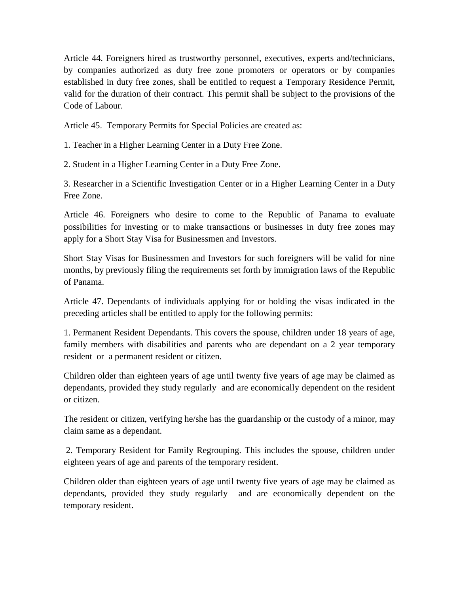Article 44. Foreigners hired as trustworthy personnel, executives, experts and/technicians, by companies authorized as duty free zone promoters or operators or by companies established in duty free zones, shall be entitled to request a Temporary Residence Permit, valid for the duration of their contract. This permit shall be subject to the provisions of the Code of Labour.

Article 45. Temporary Permits for Special Policies are created as:

1. Teacher in a Higher Learning Center in a Duty Free Zone.

2. Student in a Higher Learning Center in a Duty Free Zone.

3. Researcher in a Scientific Investigation Center or in a Higher Learning Center in a Duty Free Zone.

Article 46. Foreigners who desire to come to the Republic of Panama to evaluate possibilities for investing or to make transactions or businesses in duty free zones may apply for a Short Stay Visa for Businessmen and Investors.

Short Stay Visas for Businessmen and Investors for such foreigners will be valid for nine months, by previously filing the requirements set forth by immigration laws of the Republic of Panama.

Article 47. Dependants of individuals applying for or holding the visas indicated in the preceding articles shall be entitled to apply for the following permits:

1. Permanent Resident Dependants. This covers the spouse, children under 18 years of age, family members with disabilities and parents who are dependant on a 2 year temporary resident or a permanent resident or citizen.

Children older than eighteen years of age until twenty five years of age may be claimed as dependants, provided they study regularly and are economically dependent on the resident or citizen.

The resident or citizen, verifying he/she has the guardanship or the custody of a minor, may claim same as a dependant.

2. Temporary Resident for Family Regrouping. This includes the spouse, children under eighteen years of age and parents of the temporary resident.

Children older than eighteen years of age until twenty five years of age may be claimed as dependants, provided they study regularly and are economically dependent on the temporary resident.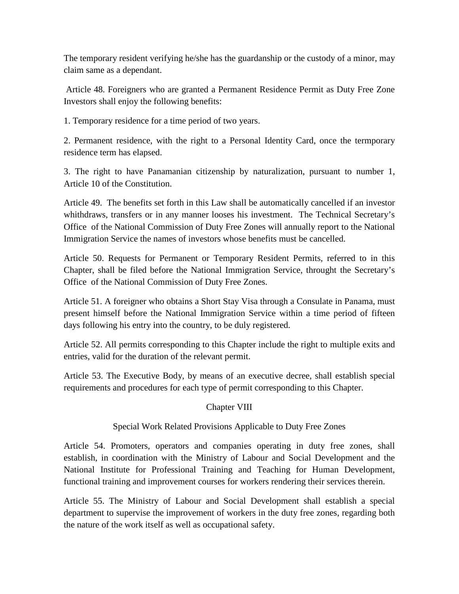The temporary resident verifying he/she has the guardanship or the custody of a minor, may claim same as a dependant.

Article 48. Foreigners who are granted a Permanent Residence Permit as Duty Free Zone Investors shall enjoy the following benefits:

1. Temporary residence for a time period of two years.

2. Permanent residence, with the right to a Personal Identity Card, once the termporary residence term has elapsed.

3. The right to have Panamanian citizenship by naturalization, pursuant to number 1, Article 10 of the Constitution.

Article 49. The benefits set forth in this Law shall be automatically cancelled if an investor whithdraws, transfers or in any manner looses his investment. The Technical Secretary's Office of the National Commission of Duty Free Zones will annually report to the National Immigration Service the names of investors whose benefits must be cancelled.

Article 50. Requests for Permanent or Temporary Resident Permits, referred to in this Chapter, shall be filed before the National Immigration Service, throught the Secretary's Office of the National Commission of Duty Free Zones.

Article 51. A foreigner who obtains a Short Stay Visa through a Consulate in Panama, must present himself before the National Immigration Service within a time period of fifteen days following his entry into the country, to be duly registered.

Article 52. All permits corresponding to this Chapter include the right to multiple exits and entries, valid for the duration of the relevant permit.

Article 53. The Executive Body, by means of an executive decree, shall establish special requirements and procedures for each type of permit corresponding to this Chapter.

# Chapter VIII

# Special Work Related Provisions Applicable to Duty Free Zones

Article 54. Promoters, operators and companies operating in duty free zones, shall establish, in coordination with the Ministry of Labour and Social Development and the National Institute for Professional Training and Teaching for Human Development, functional training and improvement courses for workers rendering their services therein.

Article 55. The Ministry of Labour and Social Development shall establish a special department to supervise the improvement of workers in the duty free zones, regarding both the nature of the work itself as well as occupational safety.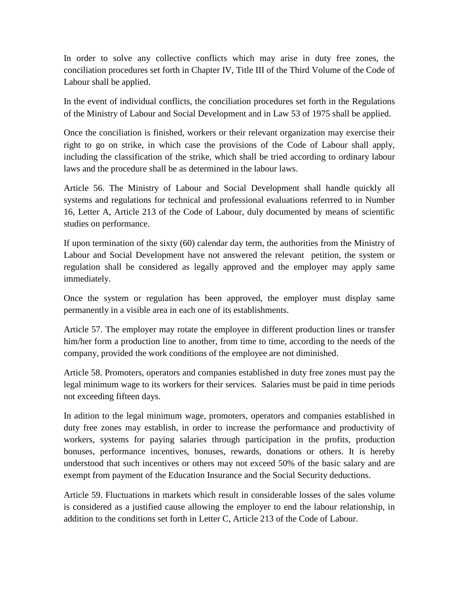In order to solve any collective conflicts which may arise in duty free zones, the conciliation procedures set forth in Chapter IV, Title III of the Third Volume of the Code of Labour shall be applied.

In the event of individual conflicts, the conciliation procedures set forth in the Regulations of the Ministry of Labour and Social Development and in Law 53 of 1975 shall be applied.

Once the conciliation is finished, workers or their relevant organization may exercise their right to go on strike, in which case the provisions of the Code of Labour shall apply, including the classification of the strike, which shall be tried according to ordinary labour laws and the procedure shall be as determined in the labour laws.

Article 56. The Ministry of Labour and Social Development shall handle quickly all systems and regulations for technical and professional evaluations referrred to in Number 16, Letter A, Article 213 of the Code of Labour, duly documented by means of scientific studies on performance.

If upon termination of the sixty (60) calendar day term, the authorities from the Ministry of Labour and Social Development have not answered the relevant petition, the system or regulation shall be considered as legally approved and the employer may apply same immediately.

Once the system or regulation has been approved, the employer must display same permanently in a visible area in each one of its establishments.

Article 57. The employer may rotate the employee in different production lines or transfer him/her form a production line to another, from time to time, according to the needs of the company, provided the work conditions of the employee are not diminished.

Article 58. Promoters, operators and companies established in duty free zones must pay the legal minimum wage to its workers for their services. Salaries must be paid in time periods not exceeding fifteen days.

In adition to the legal minimum wage, promoters, operators and companies established in duty free zones may establish, in order to increase the performance and productivity of workers, systems for paying salaries through participation in the profits, production bonuses, performance incentives, bonuses, rewards, donations or others. It is hereby understood that such incentives or others may not exceed 50% of the basic salary and are exempt from payment of the Education Insurance and the Social Security deductions.

Article 59. Fluctuations in markets which result in considerable losses of the sales volume is considered as a justified cause allowing the employer to end the labour relationship, in addition to the conditions set forth in Letter C, Article 213 of the Code of Labour.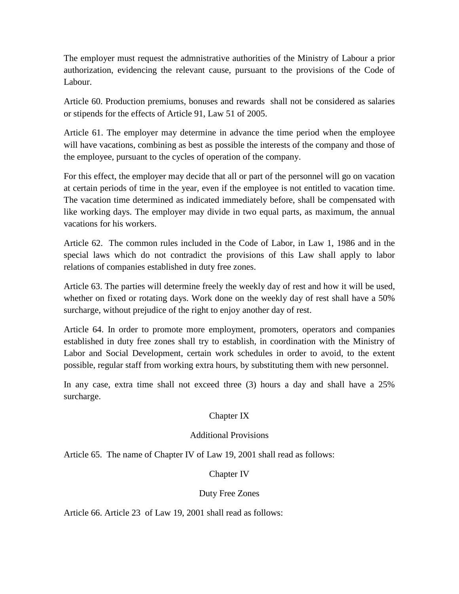The employer must request the admnistrative authorities of the Ministry of Labour a prior authorization, evidencing the relevant cause, pursuant to the provisions of the Code of Labour.

Article 60. Production premiums, bonuses and rewards shall not be considered as salaries or stipends for the effects of Article 91, Law 51 of 2005.

Article 61. The employer may determine in advance the time period when the employee will have vacations, combining as best as possible the interests of the company and those of the employee, pursuant to the cycles of operation of the company.

For this effect, the employer may decide that all or part of the personnel will go on vacation at certain periods of time in the year, even if the employee is not entitled to vacation time. The vacation time determined as indicated immediately before, shall be compensated with like working days. The employer may divide in two equal parts, as maximum, the annual vacations for his workers.

Article 62. The common rules included in the Code of Labor, in Law 1, 1986 and in the special laws which do not contradict the provisions of this Law shall apply to labor relations of companies established in duty free zones.

Article 63. The parties will determine freely the weekly day of rest and how it will be used, whether on fixed or rotating days. Work done on the weekly day of rest shall have a 50% surcharge, without prejudice of the right to enjoy another day of rest.

Article 64. In order to promote more employment, promoters, operators and companies established in duty free zones shall try to establish, in coordination with the Ministry of Labor and Social Development, certain work schedules in order to avoid, to the extent possible, regular staff from working extra hours, by substituting them with new personnel.

In any case, extra time shall not exceed three (3) hours a day and shall have a 25% surcharge.

# Chapter IX

### Additional Provisions

Article 65. The name of Chapter IV of Law 19, 2001 shall read as follows:

# Chapter IV

### Duty Free Zones

Article 66. Article 23 of Law 19, 2001 shall read as follows: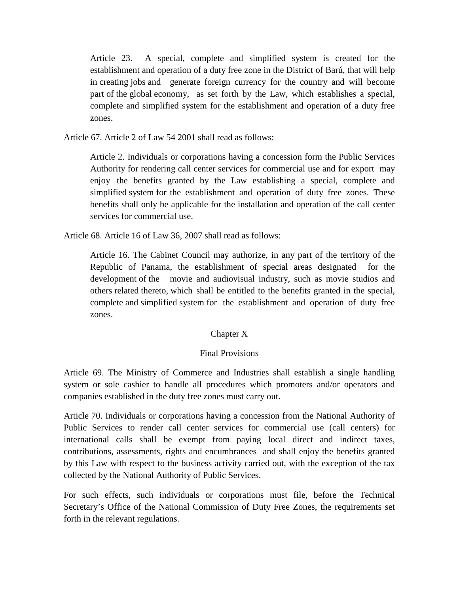Article 23. A special, complete and simplified system is created for the establishment and operation of a duty free zone in the District of Barú, that will help in creating jobs and generate foreign currency for the country and will become part of the global economy, as set forth by the Law, which establishes a special, complete and simplified system for the establishment and operation of a duty free zones.

Article 67. Article 2 of Law 54 2001 shall read as follows:

Article 2. Individuals or corporations having a concession form the Public Services Authority for rendering call center services for commercial use and for export may enjoy the benefits granted by the Law establishing a special, complete and simplified system for the establishment and operation of duty free zones. These benefits shall only be applicable for the installation and operation of the call center services for commercial use.

Article 68. Article 16 of Law 36, 2007 shall read as follows:

Article 16. The Cabinet Council may authorize, in any part of the territory of the Republic of Panama, the establishment of special areas designated for the development of the movie and audiovisual industry, such as movie studios and others related thereto, which shall be entitled to the benefits granted in the special, complete and simplified system for the establishment and operation of duty free zones.

### Chapter X

#### Final Provisions

Article 69. The Ministry of Commerce and Industries shall establish a single handling system or sole cashier to handle all procedures which promoters and/or operators and companies established in the duty free zones must carry out.

Article 70. Individuals or corporations having a concession from the National Authority of Public Services to render call center services for commercial use (call centers) for international calls shall be exempt from paying local direct and indirect taxes, contributions, assessments, rights and encumbrances and shall enjoy the benefits granted by this Law with respect to the business activity carried out, with the exception of the tax collected by the National Authority of Public Services.

For such effects, such individuals or corporations must file, before the Technical Secretary's Office of the National Commission of Duty Free Zones, the requirements set forth in the relevant regulations.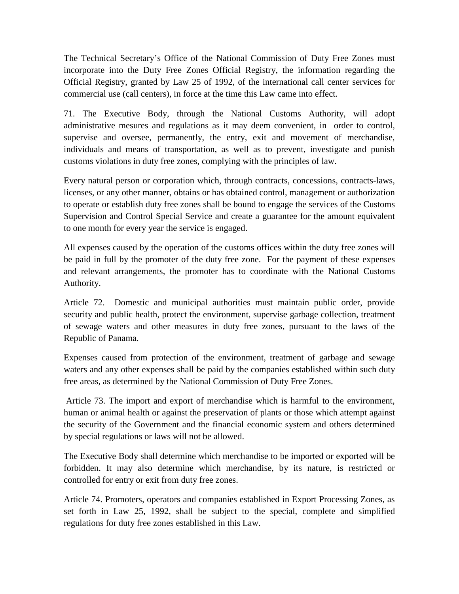The Technical Secretary's Office of the National Commission of Duty Free Zones must incorporate into the Duty Free Zones Official Registry, the information regarding the Official Registry, granted by Law 25 of 1992, of the international call center services for commercial use (call centers), in force at the time this Law came into effect.

71. The Executive Body, through the National Customs Authority, will adopt administrative mesures and regulations as it may deem convenient, in order to control, supervise and oversee, permanently, the entry, exit and movement of merchandise, individuals and means of transportation, as well as to prevent, investigate and punish customs violations in duty free zones, complying with the principles of law.

Every natural person or corporation which, through contracts, concessions, contracts-laws, licenses, or any other manner, obtains or has obtained control, management or authorization to operate or establish duty free zones shall be bound to engage the services of the Customs Supervision and Control Special Service and create a guarantee for the amount equivalent to one month for every year the service is engaged.

All expenses caused by the operation of the customs offices within the duty free zones will be paid in full by the promoter of the duty free zone. For the payment of these expenses and relevant arrangements, the promoter has to coordinate with the National Customs Authority.

Article 72. Domestic and municipal authorities must maintain public order, provide security and public health, protect the environment, supervise garbage collection, treatment of sewage waters and other measures in duty free zones, pursuant to the laws of the Republic of Panama.

Expenses caused from protection of the environment, treatment of garbage and sewage waters and any other expenses shall be paid by the companies established within such duty free areas, as determined by the National Commission of Duty Free Zones.

Article 73. The import and export of merchandise which is harmful to the environment, human or animal health or against the preservation of plants or those which attempt against the security of the Government and the financial economic system and others determined by special regulations or laws will not be allowed.

The Executive Body shall determine which merchandise to be imported or exported will be forbidden. It may also determine which merchandise, by its nature, is restricted or controlled for entry or exit from duty free zones.

Article 74. Promoters, operators and companies established in Export Processing Zones, as set forth in Law 25, 1992, shall be subject to the special, complete and simplified regulations for duty free zones established in this Law.